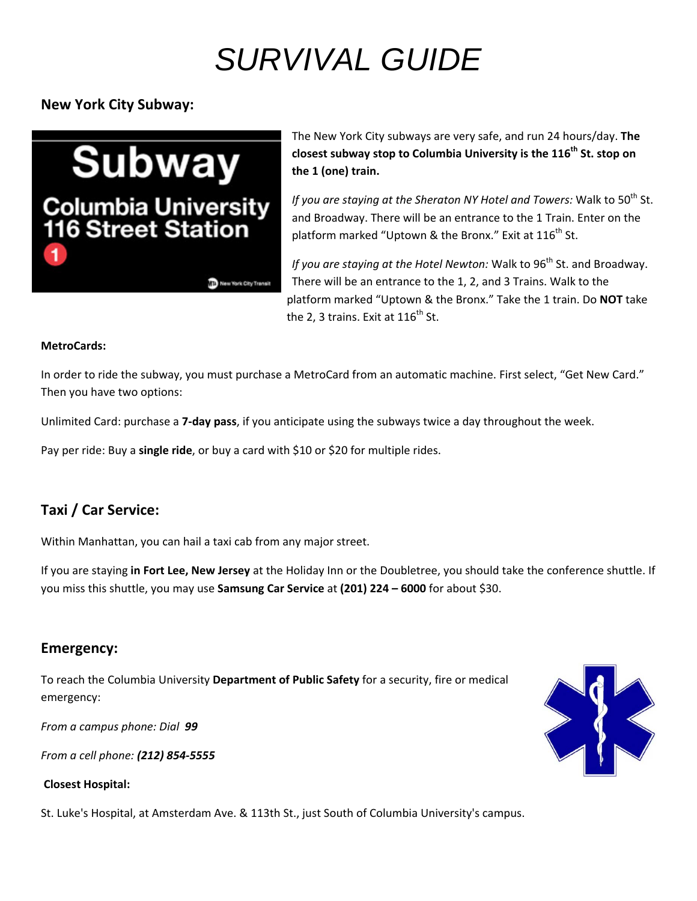# *SURVIVAL GUIDE*

**New York City Subway:**

**Subway Columbia University<br>116 Street Station**  The New York City subways are very safe, and run 24 hours/day. **The closest subway stop to Columbia University is the 116th St. stop on the 1 (one) train.**

*If* you are staying at the Sheraton NY Hotel and Towers: Walk to 50<sup>th</sup> St. and Broadway. There will be an entrance to the 1 Train. Enter on the platform marked "Uptown & the Bronx." Exit at  $116^{th}$  St.

*If* you are staying at the Hotel Newton: Walk to 96<sup>th</sup> St. and Broadway. There will be an entrance to the 1, 2, and 3 Trains. Walk to the platform marked "Uptown & the Bronx." Take the 1 train. Do **NOT** take the 2. 3 trains. Exit at  $116^{th}$  St.

#### **MetroCards:**

In order to ride the subway, you must purchase a MetroCard from an automatic machine. First select, "Get New Card." Then you have two options:

Unlimited Card: purchase a **7‐day pass**, if you anticipate using the subways twice a day throughout the week.

Pay per ride: Buy a **single ride**, or buy a card with \$10 or \$20 for multiple rides.

New York City Transit

## **Taxi / Car Service:**

Within Manhattan, you can hail a taxi cab from any major street.

If you are staying **in Fort Lee, New Jersey** at the Holiday Inn or the Doubletree, you should take the conference shuttle. If you miss this shuttle, you may use **Samsung Car Service** at **(201) 224 – 6000** for about \$30.

### **Emergency:**

To reach the Columbia University **Department of Public Safety** for a security, fire or medical emergency:

*From a campus phone: Dial 99*

*From a cell phone: (212) 854‐5555*

#### **Closest Hospital:**

St. Luke's Hospital, at Amsterdam Ave. & 113th St., just South of Columbia University's campus.

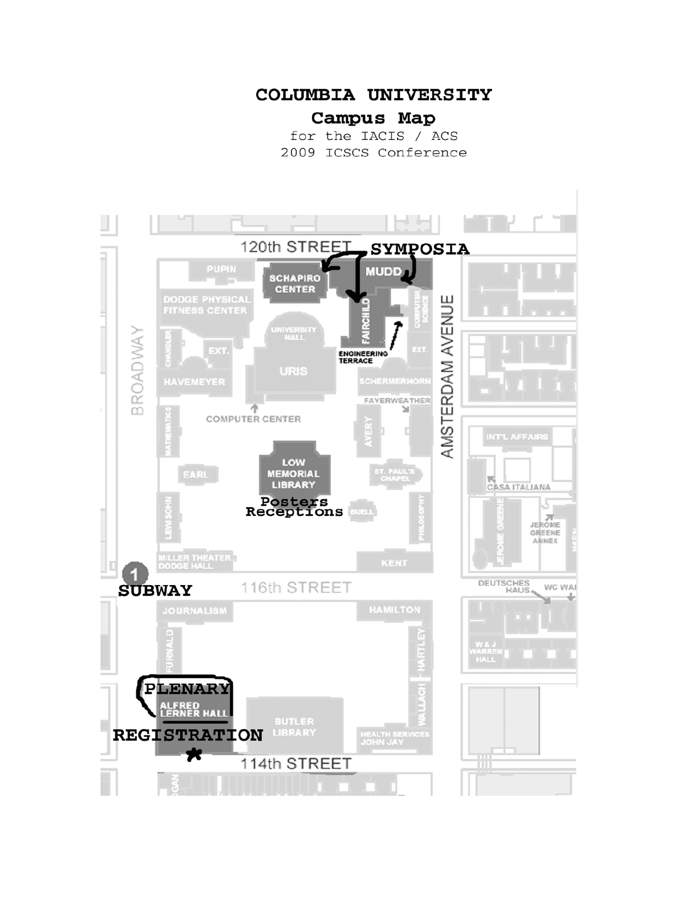### COLUMBIA UNIVERSITY

# Campus Map

for the IACIS / ACS 2009 ICSCS Conference

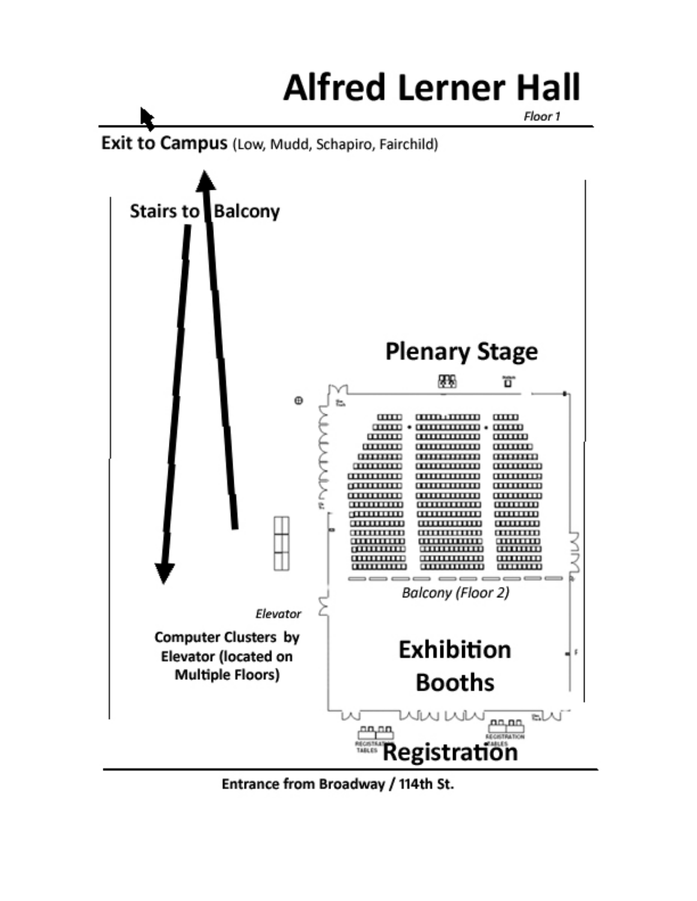# **Alfred Lerner Hall**

Floor 1





Entrance from Broadway / 114th St.